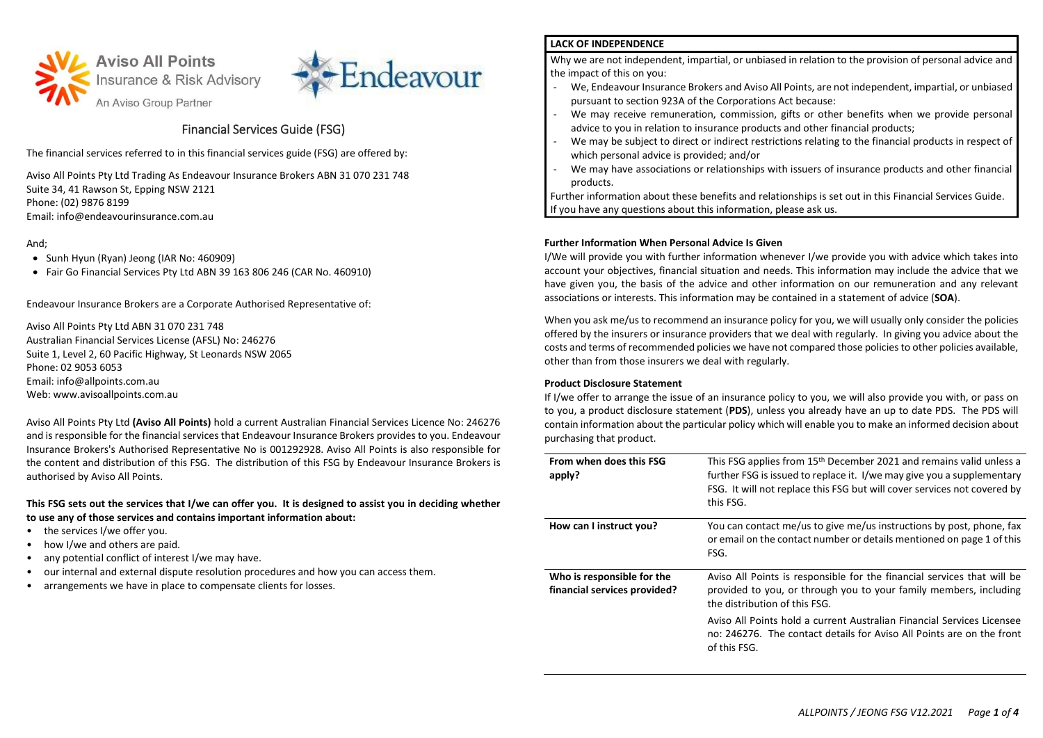



# Financial Services Guide (FSG)

The financial services referred to in this financial services guide (FSG) are offered by:

Aviso All Points Pty Ltd Trading As Endeavour Insurance Brokers ABN 31 070 231 748 Suite 34, 41 Rawson St, Epping NSW 2121 Phone: (02) 9876 8199 Email: info@endeavourinsurance.com.au

# And;

- Sunh Hyun (Ryan) Jeong (IAR No: 460909)
- Fair Go Financial Services Pty Ltd ABN 39 163 806 246 (CAR No. 460910)

Endeavour Insurance Brokers are a Corporate Authorised Representative of:

Aviso All Points Pty Ltd ABN 31 070 231 748 Australian Financial Services License (AFSL) No: 246276 Suite 1, Level 2, 60 Pacific Highway, St Leonards NSW 2065 Phone: 02 9053 6053 Email: info@allpoints.com.au Web: www.avisoallpoints.com.au

Aviso All Points Pty Ltd **(Aviso All Points)** hold a current Australian Financial Services Licence No: 246276 and is responsible for the financial services that Endeavour Insurance Brokers provides to you. Endeavour Insurance Brokers's Authorised Representative No is 001292928. Aviso All Points is also responsible for the content and distribution of this FSG. The distribution of this FSG by Endeavour Insurance Brokers is authorised by Aviso All Points.

**This FSG sets out the services that I/we can offer you. It is designed to assist you in deciding whether to use any of those services and contains important information about:**

- the services I/we offer you.
- how I/we and others are paid.
- any potential conflict of interest I/we may have.
- our internal and external dispute resolution procedures and how you can access them.
- arrangements we have in place to compensate clients for losses.

# **LACK OF INDEPENDENCE**

Why we are not independent, impartial, or unbiased in relation to the provision of personal advice and the impact of this on you:

- We, Endeavour Insurance Brokers and Aviso All Points, are not independent, impartial, or unbiased pursuant to section 923A of the Corporations Act because:
- We may receive remuneration, commission, gifts or other benefits when we provide personal advice to you in relation to insurance products and other financial products;
- We may be subject to direct or indirect restrictions relating to the financial products in respect of which personal advice is provided; and/or
- We may have associations or relationships with issuers of insurance products and other financial products.

Further information about these benefits and relationships is set out in this Financial Services Guide. If you have any questions about this information, please ask us.

## **Further Information When Personal Advice Is Given**

I/We will provide you with further information whenever I/we provide you with advice which takes into account your objectives, financial situation and needs. This information may include the advice that we have given you, the basis of the advice and other information on our remuneration and any relevant associations or interests. This information may be contained in a statement of advice (**SOA**).

When you ask me/us to recommend an insurance policy for you, we will usually only consider the policies offered by the insurers or insurance providers that we deal with regularly. In giving you advice about the costs and terms of recommended policies we have not compared those policies to other policies available, other than from those insurers we deal with regularly.

## **Product Disclosure Statement**

If I/we offer to arrange the issue of an insurance policy to you, we will also provide you with, or pass on to you, a product disclosure statement (**PDS**), unless you already have an up to date PDS. The PDS will contain information about the particular policy which will enable you to make an informed decision about purchasing that product.

| From when does this FSG<br>apply?                          | This FSG applies from 15 <sup>th</sup> December 2021 and remains valid unless a<br>further FSG is issued to replace it. I/we may give you a supplementary<br>FSG. It will not replace this FSG but will cover services not covered by<br>this FSG. |
|------------------------------------------------------------|----------------------------------------------------------------------------------------------------------------------------------------------------------------------------------------------------------------------------------------------------|
| How can I instruct you?                                    | You can contact me/us to give me/us instructions by post, phone, fax<br>or email on the contact number or details mentioned on page 1 of this<br>FSG.                                                                                              |
| Who is responsible for the<br>financial services provided? | Aviso All Points is responsible for the financial services that will be<br>provided to you, or through you to your family members, including<br>the distribution of this FSG.                                                                      |
|                                                            | Aviso All Points hold a current Australian Financial Services Licensee<br>no: 246276. The contact details for Aviso All Points are on the front<br>of this FSG.                                                                                    |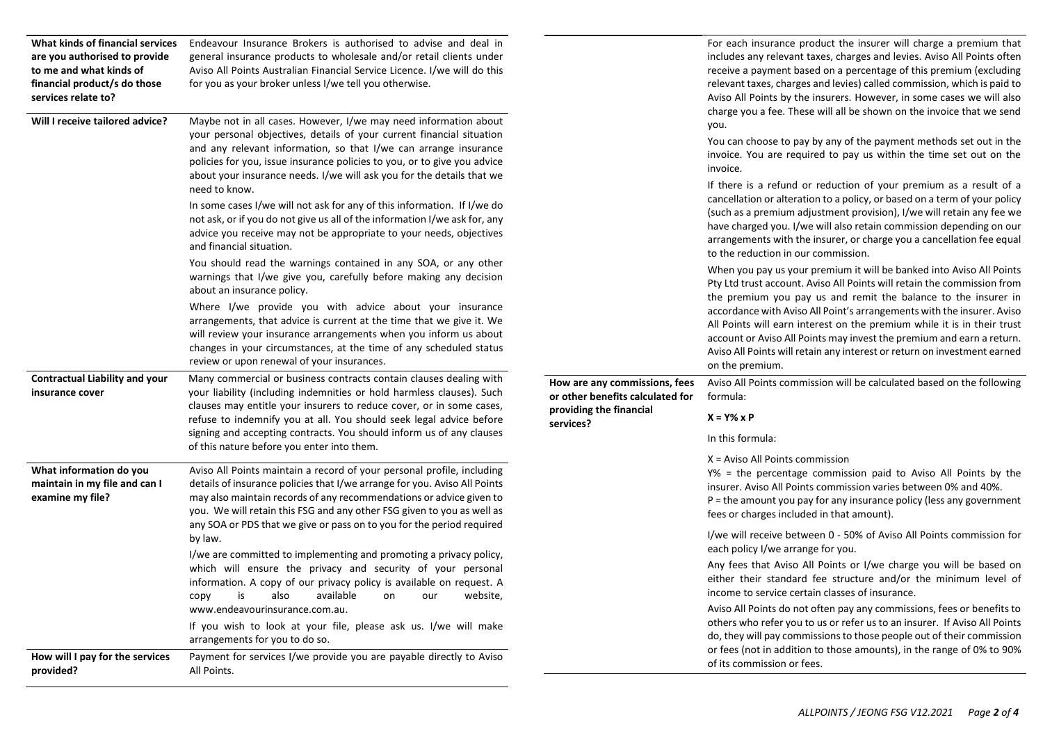| What kinds of financial services<br>are you authorised to provide<br>to me and what kinds of<br>financial product/s do those<br>services relate to?<br>Will I receive tailored advice? | Endeavour Insurance Brokers is authorised to advise and deal in<br>general insurance products to wholesale and/or retail clients under<br>Aviso All Points Australian Financial Service Licence. I/we will do this<br>for you as your broker unless I/we tell you otherwise.<br>Maybe not in all cases. However, I/we may need information about<br>your personal objectives, details of your current financial situation<br>and any relevant information, so that I/we can arrange insurance<br>policies for you, issue insurance policies to you, or to give you advice<br>about your insurance needs. I/we will ask you for the details that we<br>need to know.<br>In some cases I/we will not ask for any of this information. If I/we do<br>not ask, or if you do not give us all of the information I/we ask for, any<br>advice you receive may not be appropriate to your needs, objectives<br>and financial situation.<br>You should read the warnings contained in any SOA, or any other<br>warnings that I/we give you, carefully before making any decision<br>about an insurance policy.<br>Where I/we provide you with advice about your insurance<br>arrangements, that advice is current at the time that we give it. We<br>will review your insurance arrangements when you inform us about |                                                                                                           | For each insurance product the insurer will charge a premium that<br>includes any relevant taxes, charges and levies. Aviso All Points often<br>receive a payment based on a percentage of this premium (excluding<br>relevant taxes, charges and levies) called commission, which is paid to<br>Aviso All Points by the insurers. However, in some cases we will also<br>charge you a fee. These will all be shown on the invoice that we send<br>you.<br>You can choose to pay by any of the payment methods set out in the<br>invoice. You are required to pay us within the time set out on the<br>invoice.<br>If there is a refund or reduction of your premium as a result of a<br>cancellation or alteration to a policy, or based on a term of your policy<br>(such as a premium adjustment provision), I/we will retain any fee we<br>have charged you. I/we will also retain commission depending on our<br>arrangements with the insurer, or charge you a cancellation fee equal<br>to the reduction in our commission.<br>When you pay us your premium it will be banked into Aviso All Points<br>Pty Ltd trust account. Aviso All Points will retain the commission from<br>the premium you pay us and remit the balance to the insurer in<br>accordance with Aviso All Point's arrangements with the insurer. Aviso<br>All Points will earn interest on the premium while it is in their trust |
|----------------------------------------------------------------------------------------------------------------------------------------------------------------------------------------|--------------------------------------------------------------------------------------------------------------------------------------------------------------------------------------------------------------------------------------------------------------------------------------------------------------------------------------------------------------------------------------------------------------------------------------------------------------------------------------------------------------------------------------------------------------------------------------------------------------------------------------------------------------------------------------------------------------------------------------------------------------------------------------------------------------------------------------------------------------------------------------------------------------------------------------------------------------------------------------------------------------------------------------------------------------------------------------------------------------------------------------------------------------------------------------------------------------------------------------------------------------------------------------------------------------|-----------------------------------------------------------------------------------------------------------|--------------------------------------------------------------------------------------------------------------------------------------------------------------------------------------------------------------------------------------------------------------------------------------------------------------------------------------------------------------------------------------------------------------------------------------------------------------------------------------------------------------------------------------------------------------------------------------------------------------------------------------------------------------------------------------------------------------------------------------------------------------------------------------------------------------------------------------------------------------------------------------------------------------------------------------------------------------------------------------------------------------------------------------------------------------------------------------------------------------------------------------------------------------------------------------------------------------------------------------------------------------------------------------------------------------------------------------------------------------------------------------------------------------|
|                                                                                                                                                                                        | changes in your circumstances, at the time of any scheduled status<br>review or upon renewal of your insurances.                                                                                                                                                                                                                                                                                                                                                                                                                                                                                                                                                                                                                                                                                                                                                                                                                                                                                                                                                                                                                                                                                                                                                                                             |                                                                                                           | account or Aviso All Points may invest the premium and earn a return.<br>Aviso All Points will retain any interest or return on investment earned<br>on the premium.                                                                                                                                                                                                                                                                                                                                                                                                                                                                                                                                                                                                                                                                                                                                                                                                                                                                                                                                                                                                                                                                                                                                                                                                                                         |
| <b>Contractual Liability and your</b><br>insurance cover                                                                                                                               | Many commercial or business contracts contain clauses dealing with<br>your liability (including indemnities or hold harmless clauses). Such<br>clauses may entitle your insurers to reduce cover, or in some cases,<br>refuse to indemnify you at all. You should seek legal advice before<br>signing and accepting contracts. You should inform us of any clauses<br>of this nature before you enter into them.                                                                                                                                                                                                                                                                                                                                                                                                                                                                                                                                                                                                                                                                                                                                                                                                                                                                                             | How are any commissions, fees<br>or other benefits calculated for<br>providing the financial<br>services? | Aviso All Points commission will be calculated based on the following<br>formula:<br>$X = Y\% \times P$<br>In this formula:<br>$X = Aviso$ All Points commission                                                                                                                                                                                                                                                                                                                                                                                                                                                                                                                                                                                                                                                                                                                                                                                                                                                                                                                                                                                                                                                                                                                                                                                                                                             |
| What information do you<br>maintain in my file and can I<br>examine my file?                                                                                                           | Aviso All Points maintain a record of your personal profile, including<br>details of insurance policies that I/we arrange for you. Aviso All Points<br>may also maintain records of any recommendations or advice given to<br>you. We will retain this FSG and any other FSG given to you as well as<br>any SOA or PDS that we give or pass on to you for the period required                                                                                                                                                                                                                                                                                                                                                                                                                                                                                                                                                                                                                                                                                                                                                                                                                                                                                                                                |                                                                                                           | Y% = the percentage commission paid to Aviso All Points by the<br>insurer. Aviso All Points commission varies between 0% and 40%.<br>$P =$ the amount you pay for any insurance policy (less any government<br>fees or charges included in that amount).                                                                                                                                                                                                                                                                                                                                                                                                                                                                                                                                                                                                                                                                                                                                                                                                                                                                                                                                                                                                                                                                                                                                                     |
|                                                                                                                                                                                        | by law.<br>I/we are committed to implementing and promoting a privacy policy,                                                                                                                                                                                                                                                                                                                                                                                                                                                                                                                                                                                                                                                                                                                                                                                                                                                                                                                                                                                                                                                                                                                                                                                                                                |                                                                                                           | I/we will receive between 0 - 50% of Aviso All Points commission for<br>each policy I/we arrange for you.                                                                                                                                                                                                                                                                                                                                                                                                                                                                                                                                                                                                                                                                                                                                                                                                                                                                                                                                                                                                                                                                                                                                                                                                                                                                                                    |
|                                                                                                                                                                                        | which will ensure the privacy and security of your personal<br>information. A copy of our privacy policy is available on request. A<br>website,<br>available<br>copy<br>is<br>also<br>our<br>on                                                                                                                                                                                                                                                                                                                                                                                                                                                                                                                                                                                                                                                                                                                                                                                                                                                                                                                                                                                                                                                                                                              |                                                                                                           | Any fees that Aviso All Points or I/we charge you will be based on<br>either their standard fee structure and/or the minimum level of<br>income to service certain classes of insurance.                                                                                                                                                                                                                                                                                                                                                                                                                                                                                                                                                                                                                                                                                                                                                                                                                                                                                                                                                                                                                                                                                                                                                                                                                     |
|                                                                                                                                                                                        | www.endeavourinsurance.com.au.<br>If you wish to look at your file, please ask us. I/we will make<br>arrangements for you to do so.                                                                                                                                                                                                                                                                                                                                                                                                                                                                                                                                                                                                                                                                                                                                                                                                                                                                                                                                                                                                                                                                                                                                                                          |                                                                                                           | Aviso All Points do not often pay any commissions, fees or benefits to<br>others who refer you to us or refer us to an insurer. If Aviso All Points<br>do, they will pay commissions to those people out of their commission                                                                                                                                                                                                                                                                                                                                                                                                                                                                                                                                                                                                                                                                                                                                                                                                                                                                                                                                                                                                                                                                                                                                                                                 |
| How will I pay for the services<br>provided?                                                                                                                                           | Payment for services I/we provide you are payable directly to Aviso<br>All Points.                                                                                                                                                                                                                                                                                                                                                                                                                                                                                                                                                                                                                                                                                                                                                                                                                                                                                                                                                                                                                                                                                                                                                                                                                           |                                                                                                           | or fees (not in addition to those amounts), in the range of 0% to 90%<br>of its commission or fees.                                                                                                                                                                                                                                                                                                                                                                                                                                                                                                                                                                                                                                                                                                                                                                                                                                                                                                                                                                                                                                                                                                                                                                                                                                                                                                          |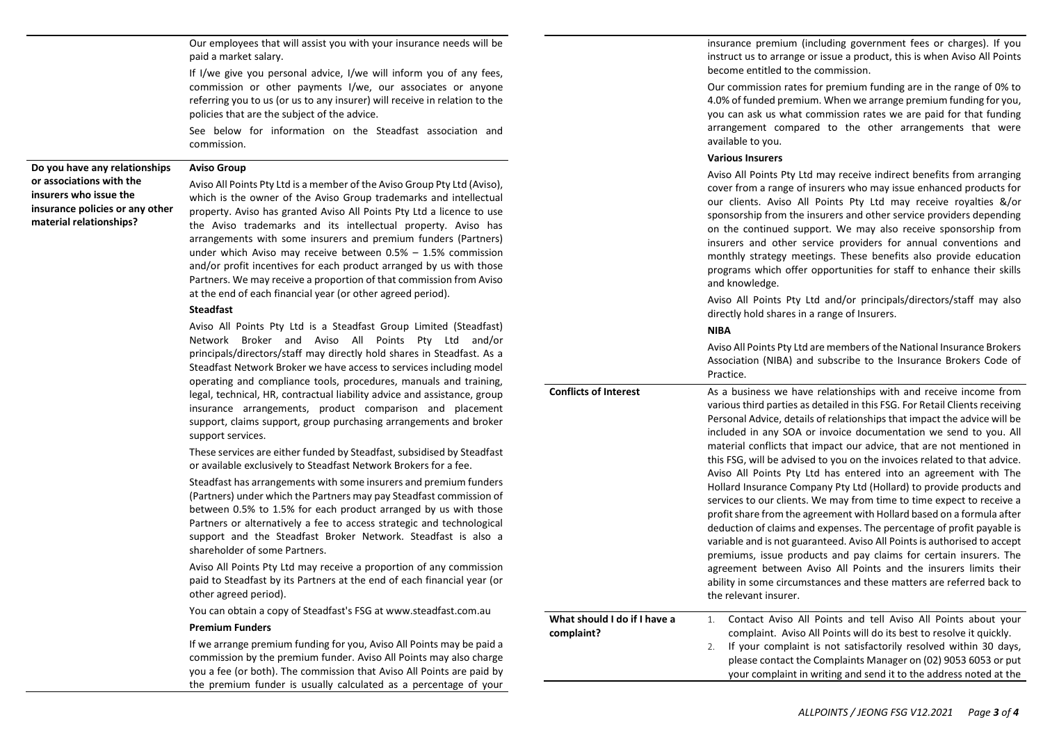Our employees that will assist you with your insurance needs will be paid a market salary.

If I/we give you personal advice, I/we will inform you of any fees, commission or other payments I/we, our associates or anyone referring you to us (or us to any insurer) will receive in relation to the policies that are the subject of the advice.

See below for information on the Steadfast association and commission.

**Do you have any relationships or associations with the insurers who issue the insurance policies or any other material relationships?**

#### **Aviso Group**

Aviso All Points Pty Ltd is a member of the Aviso Group Pty Ltd (Aviso), which is the owner of the Aviso Group trademarks and intellectual property. Aviso has granted Aviso All Points Pty Ltd a licence to use the Aviso trademarks and its intellectual property. Aviso has arrangements with some insurers and premium funders (Partners) under which Aviso may receive between 0.5% – 1.5% commission and/or profit incentives for each product arranged by us with those Partners. We may receive a proportion of that commission from Aviso at the end of each financial year (or other agreed period).

## **Steadfast**

Aviso All Points Pty Ltd is a Steadfast Group Limited (Steadfast) Network Broker and Aviso All Points Pty Ltd and/or principals/directors/staff may directly hold shares in Steadfast. As a Steadfast Network Broker we have access to services including model operating and compliance tools, procedures, manuals and training, legal, technical, HR, contractual liability advice and assistance, group insurance arrangements, product comparison and placement support, claims support, group purchasing arrangements and broker support services.

These services are either funded by Steadfast, subsidised by Steadfast or available exclusively to Steadfast Network Brokers for a fee.

Steadfast has arrangements with some insurers and premium funders (Partners) under which the Partners may pay Steadfast commission of between 0.5% to 1.5% for each product arranged by us with those Partners or alternatively a fee to access strategic and technological support and the Steadfast Broker Network. Steadfast is also a shareholder of some Partners.

Aviso All Points Pty Ltd may receive a proportion of any commission paid to Steadfast by its Partners at the end of each financial year (or other agreed period).

You can obtain a copy of Steadfast's FSG at www.steadfast.com.au

#### **Premium Funders**

If we arrange premium funding for you, Aviso All Points may be paid a commission by the premium funder. Aviso All Points may also charge you a fee (or both). The commission that Aviso All Points are paid by the premium funder is usually calculated as a percentage of your insurance premium (including government fees or charges). If you instruct us to arrange or issue a product, this is when Aviso All Points become entitled to the commission.

Our commission rates for premium funding are in the range of 0% to 4.0% of funded premium. When we arrange premium funding for you, you can ask us what commission rates we are paid for that funding arrangement compared to the other arrangements that were available to you.

#### **Various Insurers**

Aviso All Points Pty Ltd may receive indirect benefits from arranging cover from a range of insurers who may issue enhanced products for our clients. Aviso All Points Pty Ltd may receive royalties &/or sponsorship from the insurers and other service providers depending on the continued support. We may also receive sponsorship from insurers and other service providers for annual conventions and monthly strategy meetings. These benefits also provide education programs which offer opportunities for staff to enhance their skills and knowledge.

Aviso All Points Pty Ltd and/or principals/directors/staff may also directly hold shares in a range of Insurers.

## **NIBA**

|                                            | Aviso All Points Pty Ltd are members of the National Insurance Brokers<br>Association (NIBA) and subscribe to the Insurance Brokers Code of<br>Practice.                                                                                                                                                                                                                                                                                                                                                                                                                                                                                                                                                                                                                                                                                                                                                                                                                                                                                                                                                                                       |
|--------------------------------------------|------------------------------------------------------------------------------------------------------------------------------------------------------------------------------------------------------------------------------------------------------------------------------------------------------------------------------------------------------------------------------------------------------------------------------------------------------------------------------------------------------------------------------------------------------------------------------------------------------------------------------------------------------------------------------------------------------------------------------------------------------------------------------------------------------------------------------------------------------------------------------------------------------------------------------------------------------------------------------------------------------------------------------------------------------------------------------------------------------------------------------------------------|
| <b>Conflicts of Interest</b>               | As a business we have relationships with and receive income from<br>various third parties as detailed in this FSG. For Retail Clients receiving<br>Personal Advice, details of relationships that impact the advice will be<br>included in any SOA or invoice documentation we send to you. All<br>material conflicts that impact our advice, that are not mentioned in<br>this FSG, will be advised to you on the invoices related to that advice.<br>Aviso All Points Pty Ltd has entered into an agreement with The<br>Hollard Insurance Company Pty Ltd (Hollard) to provide products and<br>services to our clients. We may from time to time expect to receive a<br>profit share from the agreement with Hollard based on a formula after<br>deduction of claims and expenses. The percentage of profit payable is<br>variable and is not guaranteed. Aviso All Points is authorised to accept<br>premiums, issue products and pay claims for certain insurers. The<br>agreement between Aviso All Points and the insurers limits their<br>ability in some circumstances and these matters are referred back to<br>the relevant insurer. |
| What should I do if I have a<br>complaint? | Contact Aviso All Points and tell Aviso All Points about your<br>$1_{-}$<br>complaint. Aviso All Points will do its best to resolve it quickly.<br>If your complaint is not satisfactorily resolved within 30 days,<br>2.<br>please contact the Complaints Manager on (02) 9053 6053 or put<br>your complaint in writing and send it to the address noted at the                                                                                                                                                                                                                                                                                                                                                                                                                                                                                                                                                                                                                                                                                                                                                                               |